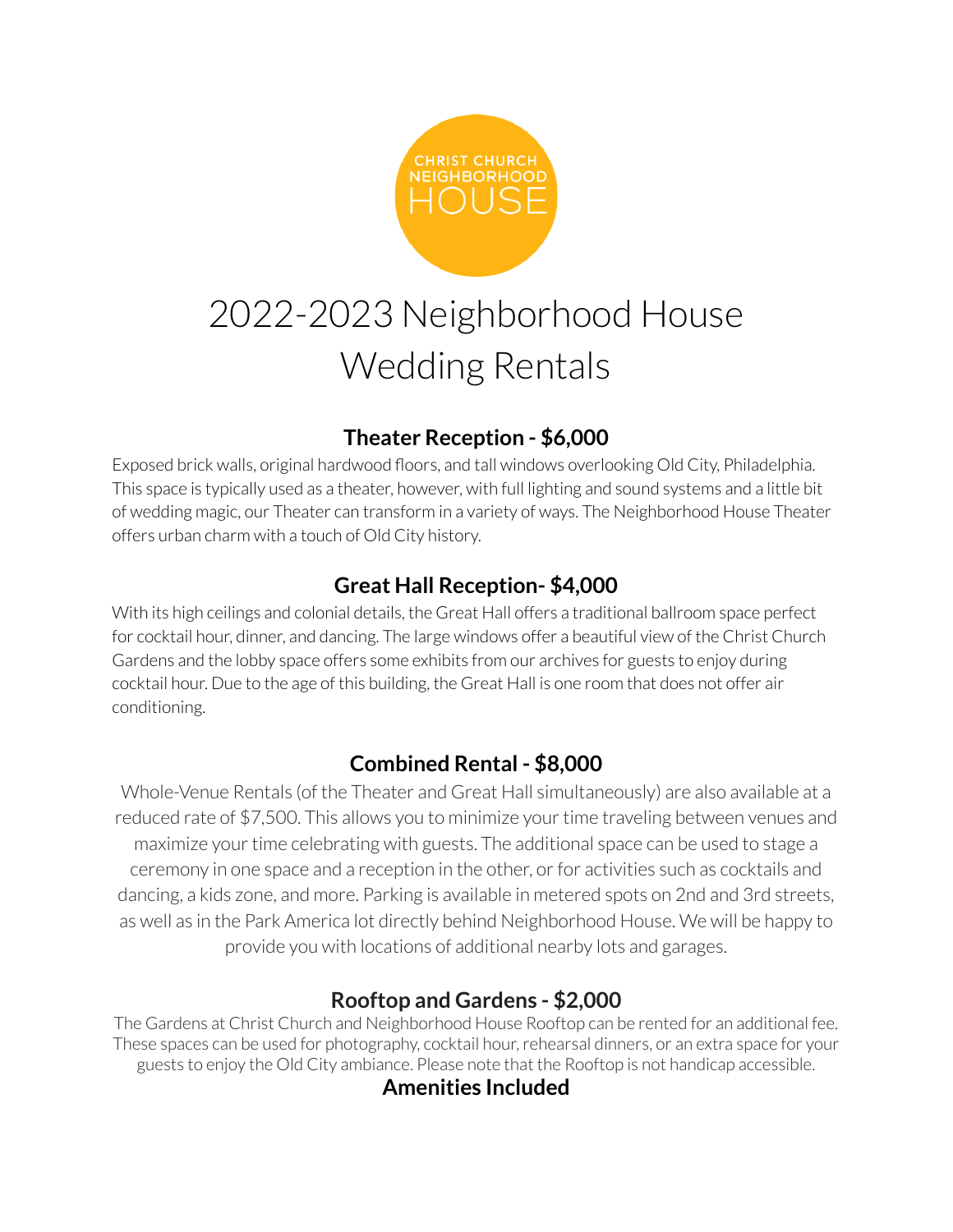

# 2022-2023 Neighborhood House Wedding Rentals

# **Theater Reception - \$6,000**

Exposed brick walls, original hardwood floors, and tall windows overlooking Old City, Philadelphia. This space is typically used as a theater, however, with full lighting and sound systems and a little bit of wedding magic, our Theater can transform in a variety of ways. The Neighborhood House Theater offers urban charm with a touch of Old City history.

# **Great Hall Reception- \$4,000**

With its high ceilings and colonial details, the Great Hall offers a traditional ballroom space perfect for cocktail hour, dinner, and dancing. The large windows offer a beautiful view of the Christ Church Gardens and the lobby space offers some exhibits from our archives for guests to enjoy during cocktail hour. Due to the age of this building, the Great Hall is one room that does not offer air conditioning.

# **Combined Rental - \$8,000**

Whole-Venue Rentals (of the Theater and Great Hall simultaneously) are also available at a reduced rate of \$7,500. This allows you to minimize your time traveling between venues and maximize your time celebrating with guests. The additional space can be used to stage a ceremony in one space and a reception in the other, or for activities such as cocktails and dancing, a kids zone, and more. Parking is available in metered spots on 2nd and 3rd streets, as well as in the Park America lot directly behind Neighborhood House. We will be happy to provide you with locations of additional nearby lots and garages.

### **Rooftop and Gardens - \$2,000**

The Gardens at Christ Church and Neighborhood House Rooftop can be rented for an additional fee. These spaces can be used for photography, cocktail hour, rehearsal dinners, or an extra space for your guests to enjoy the Old City ambiance. Please note that the Rooftop is not handicap accessible.

#### **Amenities Included**